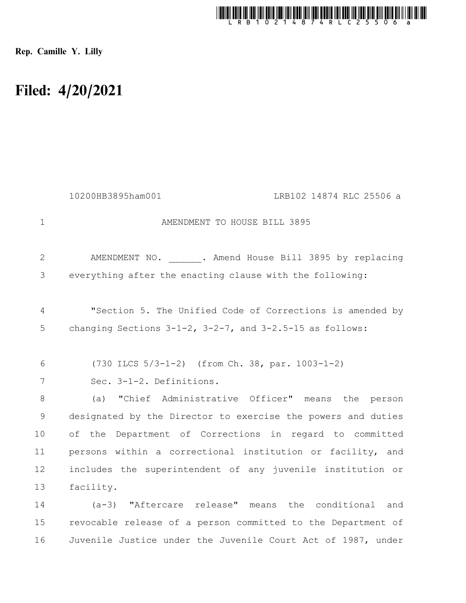

Rep. Camille Y. Lilly

## Filed: 4/20/2021

|             | 10200HB3895ham001<br>LRB102 14874 RLC 25506 a                    |
|-------------|------------------------------------------------------------------|
| $\mathbf 1$ | AMENDMENT TO HOUSE BILL 3895                                     |
| 2           | AMENDMENT NO. . Amend House Bill 3895 by replacing               |
| 3           | everything after the enacting clause with the following:         |
| 4           | "Section 5. The Unified Code of Corrections is amended by        |
| 5           | changing Sections $3-1-2$ , $3-2-7$ , and $3-2.5-15$ as follows: |
| 6           | $(730$ ILCS $5/3-1-2)$ (from Ch. 38, par. 1003-1-2)              |
| 7           | Sec. 3-1-2. Definitions.                                         |
| 8           | (a) "Chief Administrative Officer" means the person              |
| $\mathsf 9$ | designated by the Director to exercise the powers and duties     |
| 10          | of the Department of Corrections in regard to committed          |
| 11          | persons within a correctional institution or facility, and       |
| 12          | includes the superintendent of any juvenile institution or       |
| 13          | facility.                                                        |
| 14          | (a-3) "Aftercare release" means the conditional and              |
| 15          | revocable release of a person committed to the Department of     |
| 16          | Juvenile Justice under the Juvenile Court Act of 1987, under     |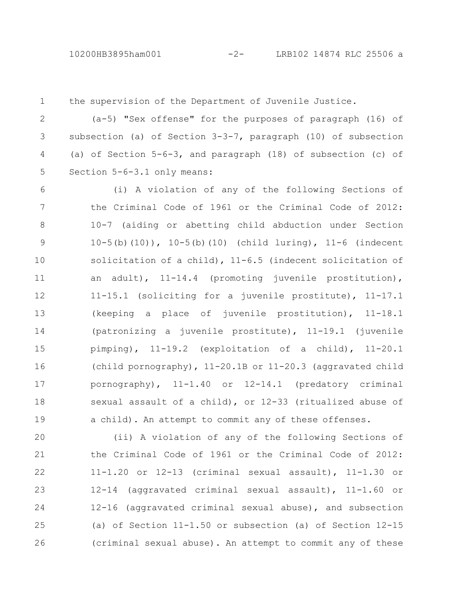the supervision of the Department of Juvenile Justice. 1

(a-5) "Sex offense" for the purposes of paragraph (16) of subsection (a) of Section  $3-3-7$ , paragraph (10) of subsection (a) of Section 5-6-3, and paragraph (18) of subsection (c) of Section 5-6-3.1 only means: 2 3 4 5

(i) A violation of any of the following Sections of the Criminal Code of 1961 or the Criminal Code of 2012: 10-7 (aiding or abetting child abduction under Section 10-5(b)(10)), 10-5(b)(10) (child luring), 11-6 (indecent solicitation of a child), 11-6.5 (indecent solicitation of an adult), 11-14.4 (promoting juvenile prostitution), 11-15.1 (soliciting for a juvenile prostitute), 11-17.1 (keeping a place of juvenile prostitution), 11-18.1 (patronizing a juvenile prostitute), 11-19.1 (juvenile pimping), 11-19.2 (exploitation of a child), 11-20.1 (child pornography), 11-20.1B or 11-20.3 (aggravated child pornography), 11-1.40 or 12-14.1 (predatory criminal sexual assault of a child), or 12-33 (ritualized abuse of a child). An attempt to commit any of these offenses. 6 7 8 9 10 11 12 13 14 15 16 17 18 19

(ii) A violation of any of the following Sections of the Criminal Code of 1961 or the Criminal Code of 2012: 11-1.20 or 12-13 (criminal sexual assault), 11-1.30 or 12-14 (aggravated criminal sexual assault), 11-1.60 or 12-16 (aggravated criminal sexual abuse), and subsection (a) of Section 11-1.50 or subsection (a) of Section 12-15 (criminal sexual abuse). An attempt to commit any of these 20 21 22 23 24 25 26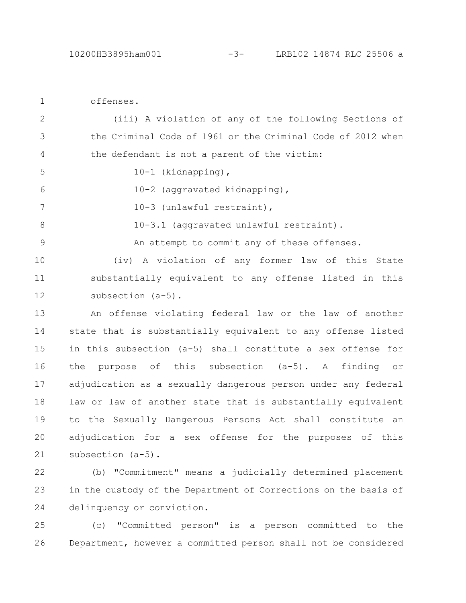offenses. 1

5

8

9

(iii) A violation of any of the following Sections of the Criminal Code of 1961 or the Criminal Code of 2012 when the defendant is not a parent of the victim: 2 3 4

- 10-1 (kidnapping),
- 10-2 (aggravated kidnapping), 6
- 10-3 (unlawful restraint), 7

10-3.1 (aggravated unlawful restraint).

An attempt to commit any of these offenses.

(iv) A violation of any former law of this State substantially equivalent to any offense listed in this subsection (a-5). 10 11 12

An offense violating federal law or the law of another state that is substantially equivalent to any offense listed in this subsection (a-5) shall constitute a sex offense for the purpose of this subsection (a-5). A finding or adjudication as a sexually dangerous person under any federal law or law of another state that is substantially equivalent to the Sexually Dangerous Persons Act shall constitute an adjudication for a sex offense for the purposes of this subsection (a-5). 13 14 15 16 17 18 19 20 21

(b) "Commitment" means a judicially determined placement in the custody of the Department of Corrections on the basis of delinquency or conviction. 22 23 24

(c) "Committed person" is a person committed to the Department, however a committed person shall not be considered 25 26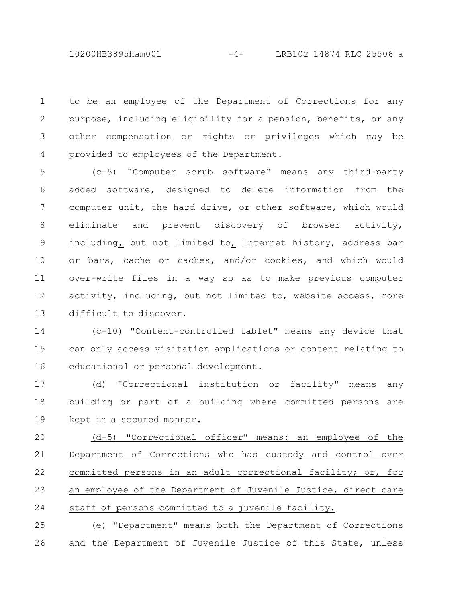10200HB3895ham001 -4- LRB102 14874 RLC 25506 a

to be an employee of the Department of Corrections for any purpose, including eligibility for a pension, benefits, or any other compensation or rights or privileges which may be provided to employees of the Department. 1 2 3 4

(c-5) "Computer scrub software" means any third-party added software, designed to delete information from the computer unit, the hard drive, or other software, which would eliminate and prevent discovery of browser activity, including, but not limited to, Internet history, address bar or bars, cache or caches, and/or cookies, and which would over-write files in a way so as to make previous computer activity, including, but not limited to, website access, more difficult to discover. 5 6 7 8 9 10 11 12 13

(c-10) "Content-controlled tablet" means any device that can only access visitation applications or content relating to educational or personal development. 14 15 16

(d) "Correctional institution or facility" means any building or part of a building where committed persons are kept in a secured manner. 17 18 19

(d-5) "Correctional officer" means: an employee of the Department of Corrections who has custody and control over committed persons in an adult correctional facility; or, for an employee of the Department of Juvenile Justice, direct care staff of persons committed to a juvenile facility. 20 21 22 23 24

(e) "Department" means both the Department of Corrections and the Department of Juvenile Justice of this State, unless 25 26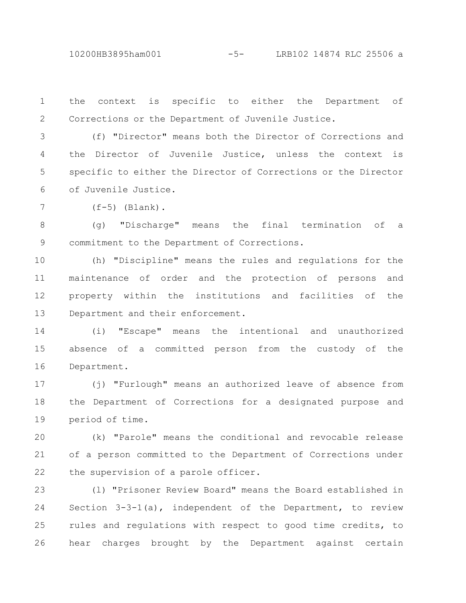10200HB3895ham001 -5- LRB102 14874 RLC 25506 a

the context is specific to either the Department of Corrections or the Department of Juvenile Justice. 1 2

(f) "Director" means both the Director of Corrections and the Director of Juvenile Justice, unless the context is specific to either the Director of Corrections or the Director of Juvenile Justice. 3 4 5 6

 $(f-5)$  (Blank). 7

(g) "Discharge" means the final termination of a commitment to the Department of Corrections. 8 9

(h) "Discipline" means the rules and regulations for the maintenance of order and the protection of persons and property within the institutions and facilities of the Department and their enforcement. 10 11 12 13

(i) "Escape" means the intentional and unauthorized absence of a committed person from the custody of the Department. 14 15 16

(j) "Furlough" means an authorized leave of absence from the Department of Corrections for a designated purpose and period of time. 17 18 19

(k) "Parole" means the conditional and revocable release of a person committed to the Department of Corrections under the supervision of a parole officer. 20 21 22

(l) "Prisoner Review Board" means the Board established in Section 3-3-1(a), independent of the Department, to review rules and regulations with respect to good time credits, to hear charges brought by the Department against certain 23 24 25 26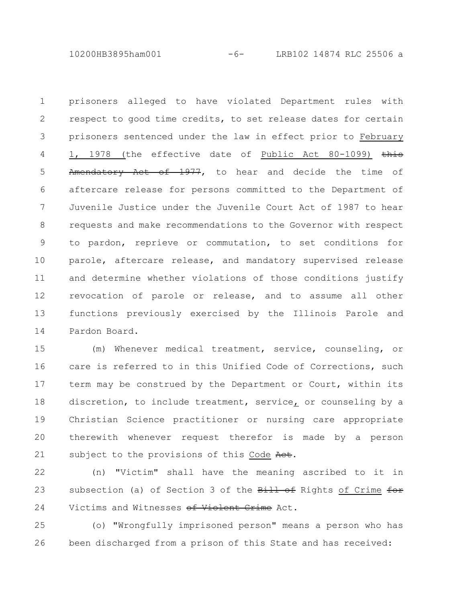10200HB3895ham001 -6- LRB102 14874 RLC 25506 a

prisoners alleged to have violated Department rules with respect to good time credits, to set release dates for certain prisoners sentenced under the law in effect prior to February 1, 1978 (the effective date of Public Act 80-1099) this Amendatory Act of 1977, to hear and decide the time of aftercare release for persons committed to the Department of Juvenile Justice under the Juvenile Court Act of 1987 to hear requests and make recommendations to the Governor with respect to pardon, reprieve or commutation, to set conditions for parole, aftercare release, and mandatory supervised release and determine whether violations of those conditions justify revocation of parole or release, and to assume all other functions previously exercised by the Illinois Parole and Pardon Board. 1 2 3 4 5 6 7 8 9 10 11 12 13 14

(m) Whenever medical treatment, service, counseling, or care is referred to in this Unified Code of Corrections, such term may be construed by the Department or Court, within its discretion, to include treatment, service, or counseling by a Christian Science practitioner or nursing care appropriate therewith whenever request therefor is made by a person subject to the provisions of this Code Act. 15 16 17 18 19 20 21

(n) "Victim" shall have the meaning ascribed to it in subsection (a) of Section 3 of the Bill of Rights of Crime for Victims and Witnesses of Violent Crime Act. 22 23 24

(o) "Wrongfully imprisoned person" means a person who has been discharged from a prison of this State and has received: 25 26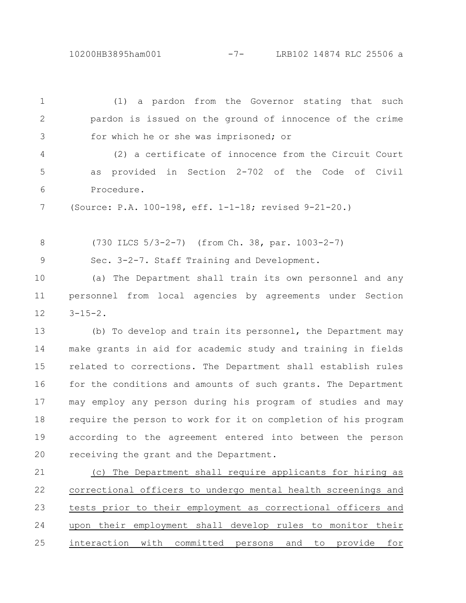10200HB3895ham001 -7- LRB102 14874 RLC 25506 a

(1) a pardon from the Governor stating that such pardon is issued on the ground of innocence of the crime for which he or she was imprisoned; or (2) a certificate of innocence from the Circuit Court as provided in Section 2-702 of the Code of Civil Procedure. (Source: P.A. 100-198, eff. 1-1-18; revised 9-21-20.) (730 ILCS 5/3-2-7) (from Ch. 38, par. 1003-2-7) Sec. 3-2-7. Staff Training and Development. (a) The Department shall train its own personnel and any personnel from local agencies by agreements under Section  $3 - 15 - 2$ . (b) To develop and train its personnel, the Department may make grants in aid for academic study and training in fields related to corrections. The Department shall establish rules for the conditions and amounts of such grants. The Department may employ any person during his program of studies and may require the person to work for it on completion of his program according to the agreement entered into between the person receiving the grant and the Department. (c) The Department shall require applicants for hiring as correctional officers to undergo mental health screenings and tests prior to their employment as correctional officers and upon their employment shall develop rules to monitor their interaction with committed persons and to provide for 1 2 3 4 5 6 7 8 9 10 11 12 13 14 15 16 17 18 19  $20$ 21 22 23 24 25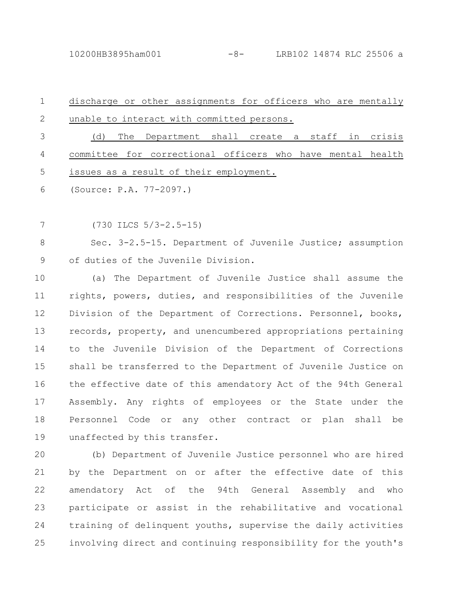| $\mathbf{1}$ | discharge or other assignments for officers who are mentally |
|--------------|--------------------------------------------------------------|
| 2            | unable to interact with committed persons.                   |
| 3            | The Department shall create a staff in crisis<br>(d)         |
| 4            | committee for correctional officers who have mental health   |
| 5            | issues as a result of their employment.                      |
|              | 6 (Source: P.A. 77-2097.)                                    |

(730 ILCS 5/3-2.5-15) 7

Sec. 3-2.5-15. Department of Juvenile Justice; assumption of duties of the Juvenile Division. 8 9

(a) The Department of Juvenile Justice shall assume the rights, powers, duties, and responsibilities of the Juvenile Division of the Department of Corrections. Personnel, books, records, property, and unencumbered appropriations pertaining to the Juvenile Division of the Department of Corrections shall be transferred to the Department of Juvenile Justice on the effective date of this amendatory Act of the 94th General Assembly. Any rights of employees or the State under the Personnel Code or any other contract or plan shall be unaffected by this transfer. 10 11 12 13 14 15 16 17 18 19

(b) Department of Juvenile Justice personnel who are hired by the Department on or after the effective date of this amendatory Act of the 94th General Assembly and who participate or assist in the rehabilitative and vocational training of delinquent youths, supervise the daily activities involving direct and continuing responsibility for the youth's  $20$ 21 22 23 24 25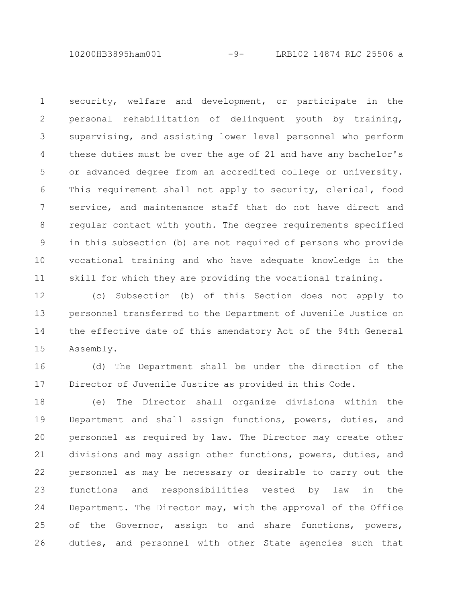10200HB3895ham001 -9- LRB102 14874 RLC 25506 a

security, welfare and development, or participate in the personal rehabilitation of delinquent youth by training, supervising, and assisting lower level personnel who perform these duties must be over the age of 21 and have any bachelor's or advanced degree from an accredited college or university. This requirement shall not apply to security, clerical, food service, and maintenance staff that do not have direct and regular contact with youth. The degree requirements specified in this subsection (b) are not required of persons who provide vocational training and who have adequate knowledge in the skill for which they are providing the vocational training. 1 2 3 4 5 6 7 8 9 10 11

(c) Subsection (b) of this Section does not apply to personnel transferred to the Department of Juvenile Justice on the effective date of this amendatory Act of the 94th General Assembly. 12 13 14 15

(d) The Department shall be under the direction of the Director of Juvenile Justice as provided in this Code. 16 17

(e) The Director shall organize divisions within the Department and shall assign functions, powers, duties, and personnel as required by law. The Director may create other divisions and may assign other functions, powers, duties, and personnel as may be necessary or desirable to carry out the functions and responsibilities vested by law in the Department. The Director may, with the approval of the Office of the Governor, assign to and share functions, powers, duties, and personnel with other State agencies such that 18 19 20 21 22 23 24 25 26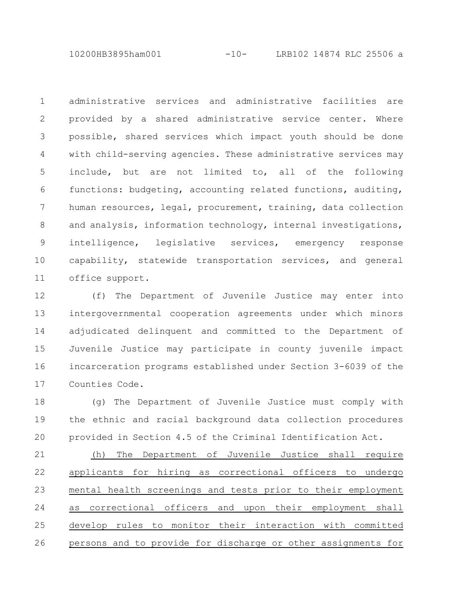10200HB3895ham001 -10- LRB102 14874 RLC 25506 a

administrative services and administrative facilities are provided by a shared administrative service center. Where possible, shared services which impact youth should be done with child-serving agencies. These administrative services may include, but are not limited to, all of the following functions: budgeting, accounting related functions, auditing, human resources, legal, procurement, training, data collection and analysis, information technology, internal investigations, intelligence, legislative services, emergency response capability, statewide transportation services, and general office support. 1 2 3 4 5 6 7 8 9 10 11

(f) The Department of Juvenile Justice may enter into intergovernmental cooperation agreements under which minors adjudicated delinquent and committed to the Department of Juvenile Justice may participate in county juvenile impact incarceration programs established under Section 3-6039 of the Counties Code. 12 13 14 15 16 17

(g) The Department of Juvenile Justice must comply with the ethnic and racial background data collection procedures provided in Section 4.5 of the Criminal Identification Act. 18 19 20

(h) The Department of Juvenile Justice shall require applicants for hiring as correctional officers to undergo mental health screenings and tests prior to their employment as correctional officers and upon their employment shall develop rules to monitor their interaction with committed persons and to provide for discharge or other assignments for 21 22 23 24 25 26